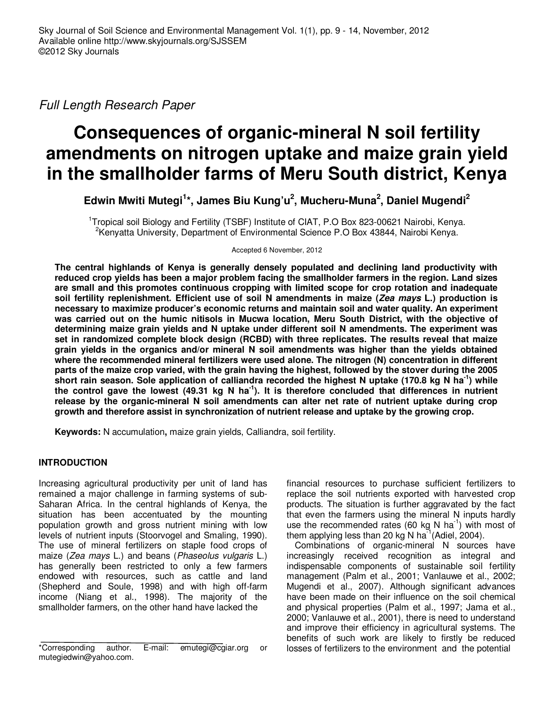Full Length Research Paper

# **Consequences of organic-mineral N soil fertility amendments on nitrogen uptake and maize grain yield in the smallholder farms of Meru South district, Kenya**

**Edwin Mwiti Mutegi<sup>1</sup> \*, James Biu Kung'u<sup>2</sup> , Mucheru-Muna<sup>2</sup> , Daniel Mugendi<sup>2</sup>**

<sup>1</sup>Tropical soil Biology and Fertility (TSBF) Institute of CIAT, P.O Box 823-00621 Nairobi, Kenya. <sup>2</sup>Kenyatta University, Department of Environmental Science P.O Box 43844, Nairobi Kenya.

Accepted 6 November, 2012

**The central highlands of Kenya is generally densely populated and declining land productivity with reduced crop yields has been a major problem facing the smallholder farmers in the region. Land sizes are small and this promotes continuous cropping with limited scope for crop rotation and inadequate soil fertility replenishment. Efficient use of soil N amendments in maize (Zea mays L.) production is necessary to maximize producer's economic returns and maintain soil and water quality. An experiment was carried out on the humic nitisols in Mucwa location, Meru South District, with the objective of determining maize grain yields and N uptake under different soil N amendments. The experiment was set in randomized complete block design (RCBD) with three replicates. The results reveal that maize grain yields in the organics and/or mineral N soil amendments was higher than the yields obtained where the recommended mineral fertilizers were used alone. The nitrogen (N) concentration in different parts of the maize crop varied, with the grain having the highest, followed by the stover during the 2005 short rain season. Sole application of calliandra recorded the highest N uptake (170.8 kg N ha-1) while**  the control gave the lowest (49.31 kg N ha<sup>-1</sup>). It is therefore concluded that differences in nutrient **release by the organic-mineral N soil amendments can alter net rate of nutrient uptake during crop growth and therefore assist in synchronization of nutrient release and uptake by the growing crop.** 

**Keywords:** N accumulation**,** maize grain yields, Calliandra, soil fertility.

## **INTRODUCTION**

Increasing agricultural productivity per unit of land has remained a major challenge in farming systems of sub-Saharan Africa. In the central highlands of Kenya, the situation has been accentuated by the mounting population growth and gross nutrient mining with low levels of nutrient inputs (Stoorvogel and Smaling, 1990). The use of mineral fertilizers on staple food crops of maize (Zea mays L.) and beans (Phaseolus vulgaris L.) has generally been restricted to only a few farmers endowed with resources, such as cattle and land (Shepherd and Soule, 1998) and with high off-farm income (Niang et al., 1998). The majority of the smallholder farmers, on the other hand have lacked the

financial resources to purchase sufficient fertilizers to replace the soil nutrients exported with harvested crop products. The situation is further aggravated by the fact that even the farmers using the mineral N inputs hardly use the recommended rates (60 kg N ha<sup>-1</sup>) with most of them applying less than 20 kg N ha<sup>-1</sup> (Adiel, 2004).

Combinations of organic-mineral N sources have increasingly received recognition as integral and indispensable components of sustainable soil fertility management (Palm et al., 2001; Vanlauwe et al., 2002; Mugendi et al., 2007). Although significant advances have been made on their influence on the soil chemical and physical properties (Palm et al., 1997; Jama et al., 2000; Vanlauwe et al., 2001), there is need to understand and improve their efficiency in agricultural systems. The benefits of such work are likely to firstly be reduced losses of fertilizers to the environment and the potential

<sup>\*</sup>Corresponding author. E-mail: emutegi@cgiar.org or mutegiedwin@yahoo.com.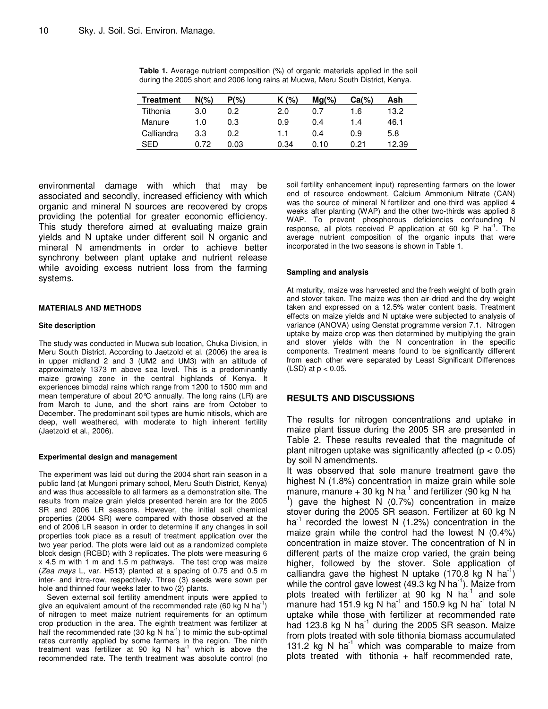| Treatment  | $N(\%)$ | $P(\% )$ | $K(\%)$ | $Mg(\%)$ | $Ca(\%)$ | Ash   |
|------------|---------|----------|---------|----------|----------|-------|
| Tithonia   | 3.0     | 0.2      | 2.0     | 0.7      | 1.6      | 13.2  |
| Manure     | 1.0     | 0.3      | 0.9     | 0.4      | 1.4      | 46.1  |
| Calliandra | 3.3     | 0.2      | 1.1     | 0.4      | 0.9      | 5.8   |
| SFD        | 0.72    | 0.03     | 0.34    | 0.10     | 0.21     | 12.39 |

**Table 1.** Average nutrient composition (%) of organic materials applied in the soil during the 2005 short and 2006 long rains at Mucwa, Meru South District, Kenya.

environmental damage with which that may be associated and secondly, increased efficiency with which organic and mineral N sources are recovered by crops providing the potential for greater economic efficiency. This study therefore aimed at evaluating maize grain yields and N uptake under different soil N organic and mineral N amendments in order to achieve better synchrony between plant uptake and nutrient release while avoiding excess nutrient loss from the farming systems.

#### **MATERIALS AND METHODS**

#### **Site description**

The study was conducted in Mucwa sub location, Chuka Division, in Meru South District. According to Jaetzold et al. (2006) the area is in upper midland 2 and 3 (UM2 and UM3) with an altitude of approximately 1373 m above sea level. This is a predominantly maize growing zone in the central highlands of Kenya. It experiences bimodal rains which range from 1200 to 1500 mm and mean temperature of about 20°C annually. The long rains (LR) are from March to June, and the short rains are from October to December. The predominant soil types are humic nitisols, which are deep, well weathered, with moderate to high inherent fertility (Jaetzold et al., 2006).

### **Experimental design and management**

The experiment was laid out during the 2004 short rain season in a public land (at Mungoni primary school, Meru South District, Kenya) and was thus accessible to all farmers as a demonstration site. The results from maize grain yields presented herein are for the 2005 SR and 2006 LR seasons. However, the initial soil chemical properties (2004 SR) were compared with those observed at the end of 2006 LR season in order to determine if any changes in soil properties took place as a result of treatment application over the two year period. The plots were laid out as a randomized complete block design (RCBD) with 3 replicates. The plots were measuring 6 x 4.5 m with 1 m and 1.5 m pathways. The test crop was maize (Zea mays L, var. H513) planted at a spacing of 0.75 and 0.5 m inter- and intra-row, respectively. Three (3) seeds were sown per hole and thinned four weeks later to two (2) plants.

Seven external soil fertility amendment inputs were applied to give an equivalent amount of the recommended rate (60 kg N ha<sup>-1</sup>) of nitrogen to meet maize nutrient requirements for an optimum crop production in the area. The eighth treatment was fertilizer at half the recommended rate (30 kg N ha<sup>-1</sup>) to mimic the sub-optimal rates currently applied by some farmers in the region. The ninth treatment was fertilizer at 90 kg N  $ha^{-1}$  which is above the recommended rate. The tenth treatment was absolute control (no

soil fertility enhancement input) representing farmers on the lower end of resource endowment. Calcium Ammonium Nitrate (CAN) was the source of mineral N fertilizer and one-third was applied 4 weeks after planting (WAP) and the other two-thirds was applied 8 WAP. To prevent phosphorous deficiencies confounding N response, all plots received P application at 60 kg P  $ha^{-1}$ . The average nutrient composition of the organic inputs that were incorporated in the two seasons is shown in Table 1.

#### **Sampling and analysis**

At maturity, maize was harvested and the fresh weight of both grain and stover taken. The maize was then air-dried and the dry weight taken and expressed on a 12.5% water content basis. Treatment effects on maize yields and N uptake were subjected to analysis of variance (ANOVA) using Genstat programme version 7.1. Nitrogen uptake by maize crop was then determined by multiplying the grain and stover yields with the N concentration in the specific components. Treatment means found to be significantly different from each other were separated by Least Significant Differences  $(LSD)$  at  $p < 0.05$ .

## **RESULTS AND DISCUSSIONS**

The results for nitrogen concentrations and uptake in maize plant tissue during the 2005 SR are presented in Table 2. These results revealed that the magnitude of plant nitrogen uptake was significantly affected  $(p < 0.05)$ by soil N amendments.

It was observed that sole manure treatment gave the highest N (1.8%) concentration in maize grain while sole manure, manure  $+30$  kg N ha<sup>-1</sup> and fertilizer (90 kg N ha<sup>-1</sup> <sup>1</sup>) gave the highest N  $(0.7%)$  concentration in maize stover during the 2005 SR season. Fertilizer at 60 kg N ha<sup>-1</sup> recorded the lowest N  $(1.2%)$  concentration in the maize grain while the control had the lowest N (0.4%) concentration in maize stover. The concentration of N in different parts of the maize crop varied, the grain being higher, followed by the stover. Sole application of calliandra gave the highest N uptake  $(170.8 \text{ kg N} \text{ ha}^{\text{T}})$ while the control gave lowest  $(49.3 \text{ kg N} \text{ ha}^{-1})$ . Maize from plots treated with fertilizer at 90 kg N  $ha^{-1}$  and sole manure had 151.9 kg N ha<sup>-1</sup> and 150.9 kg N ha<sup>-1</sup> total N uptake while those with fertilizer at recommended rate had 123.8 kg N ha $^{-1}$  during the 2005 SR season. Maize from plots treated with sole tithonia biomass accumulated 131.2 kg N ha<sup>-1</sup> which was comparable to maize from plots treated with tithonia  $+$  half recommended rate,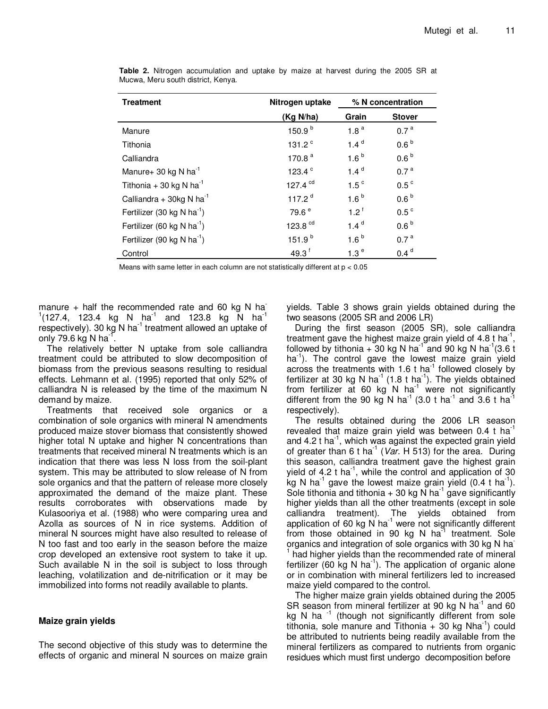| <b>Treatment</b>                       | Nitrogen uptake    | % N concentration |                  |
|----------------------------------------|--------------------|-------------------|------------------|
|                                        | (Kg N/ha)          | Grain             | <b>Stover</b>    |
| Manure                                 | 150.9 <sup>b</sup> | 1.8 <sup>a</sup>  | 0.7 <sup>a</sup> |
| Tithonia                               | 131.2 $^{\circ}$   | 1.4 <sup>d</sup>  | 0.6 <sup>b</sup> |
| Calliandra                             | 170.8 $a$          | $1.6^{b}$         | 0.6 <sup>b</sup> |
| Manure+ 30 kg N ha <sup>-1</sup>       | 123.4 <sup>c</sup> | 1.4 <sup>d</sup>  | 0.7 <sup>a</sup> |
| Tithonia + 30 kg N ha $^{-1}$          | 127.4 $cd$         | 1.5 <sup>c</sup>  | 0.5 <sup>c</sup> |
| Calliandra + 30kg N ha <sup>-1</sup>   | 117.2 $d$          | 1.6 <sup>b</sup>  | 0.6 <sup>b</sup> |
| Fertilizer (30 kg N ha <sup>-1</sup> ) | 79.6 <sup>e</sup>  | $1.2^{\text{f}}$  | 0.5 <sup>c</sup> |
| Fertilizer (60 kg N ha <sup>-1</sup> ) | 123.8 cd           | 1.4 <sup>d</sup>  | 0.6 <sup>b</sup> |
| Fertilizer (90 kg N ha <sup>-1</sup> ) | 151.9 <sup>b</sup> | 1.6 <sup>b</sup>  | 0.7 <sup>a</sup> |
| Control                                | 49.3 <sup>f</sup>  | 1.3 <sup>e</sup>  | 0.4 <sup>d</sup> |

**Table 2.** Nitrogen accumulation and uptake by maize at harvest during the 2005 SR at Mucwa, Meru south district, Kenya.

Means with same letter in each column are not statistically different at p < 0.05

manure + half the recommended rate and 60 kg N ha<sup>-</sup>  $1(127.4, 123.4 \text{ kg} \text{ N} \text{ ha}^{-1} \text{ and } 123.8 \text{ kg} \text{ N} \text{ ha}^{-1}$ respectively). 30 kg N ha $^{-1}$  treatment allowed an uptake of only 79.6 kg N ha $^{-1}$ .

The relatively better N uptake from sole calliandra treatment could be attributed to slow decomposition of biomass from the previous seasons resulting to residual effects. Lehmann et al. (1995) reported that only 52% of calliandra N is released by the time of the maximum N demand by maize.

Treatments that received sole organics or a combination of sole organics with mineral N amendments produced maize stover biomass that consistently showed higher total N uptake and higher N concentrations than treatments that received mineral N treatments which is an indication that there was less N loss from the soil-plant system. This may be attributed to slow release of N from sole organics and that the pattern of release more closely approximated the demand of the maize plant. These results corroborates with observations made by Kulasooriya et al. (1988) who were comparing urea and Azolla as sources of N in rice systems. Addition of mineral N sources might have also resulted to release of N too fast and too early in the season before the maize crop developed an extensive root system to take it up. Such available N in the soil is subject to loss through leaching, volatilization and de-nitrification or it may be immobilized into forms not readily available to plants.

## **Maize grain yields**

The second objective of this study was to determine the effects of organic and mineral N sources on maize grain yields. Table 3 shows grain yields obtained during the two seasons (2005 SR and 2006 LR)

During the first season (2005 SR), sole calliandra treatment gave the highest maize grain yield of 4.8 t ha<sup>-1</sup>, followed by tithonia  $+$  30 kg N ha<sup>-1</sup> and 90 kg N ha<sup>-1</sup>(3.6 t ha<sup>-1</sup>). The control gave the lowest maize grain yield across the treatments with 1.6 t ha<sup>-1</sup> followed closely by fertilizer at 30 kg N ha<sup>-1</sup> (1.8 t ha<sup>-1</sup>). The yields obtained from fertilizer at 60 kg N ha<sup>1</sup> were not significantly different from the 90 kg N ha<sup>-1</sup> (3.0 t ha<sup>-1</sup> and 3.6 t ha<sup>-1</sup> respectively).

The results obtained during the 2006 LR season revealed that maize grain yield was between  $0.4$  t ha<sup>-1</sup> and 4.2 t ha<sup>-1</sup>, which was against the expected grain yield of greater than 6 t ha<sup>-1</sup> (Var. H 513) for the area. During this season, calliandra treatment gave the highest grain yield of  $4.2$  t ha<sup>-1</sup>, while the control and application of 30 kg N ha<sup>-1</sup> gave the lowest maize grain yield (0.4 t ha<sup>-1</sup>). Sole tithonia and tithonia  $+30$  kg N ha<sup>-1</sup> gave significantly higher yields than all the other treatments (except in sole calliandra treatment). The yields obtained from application of 60 kg N ha $^{-1}$  were not significantly different from those obtained in 90 kg N  $ha^{-1}$  treatment. Sole organics and integration of sole organics with 30 kg N hat <sup>1</sup> had higher yields than the recommended rate of mineral fertilizer (60 kg N ha<sup>-1</sup>). The application of organic alone or in combination with mineral fertilizers led to increased maize yield compared to the control.

The higher maize grain yields obtained during the 2005 SR season from mineral fertilizer at 90 kg N ha $^{-1}$  and 60 kg N ha<sup>-1</sup> (though not significantly different from sole tithonia, sole manure and Tithonia  $+$  30 kg Nha<sup>-1</sup>) could be attributed to nutrients being readily available from the mineral fertilizers as compared to nutrients from organic residues which must first undergo decomposition before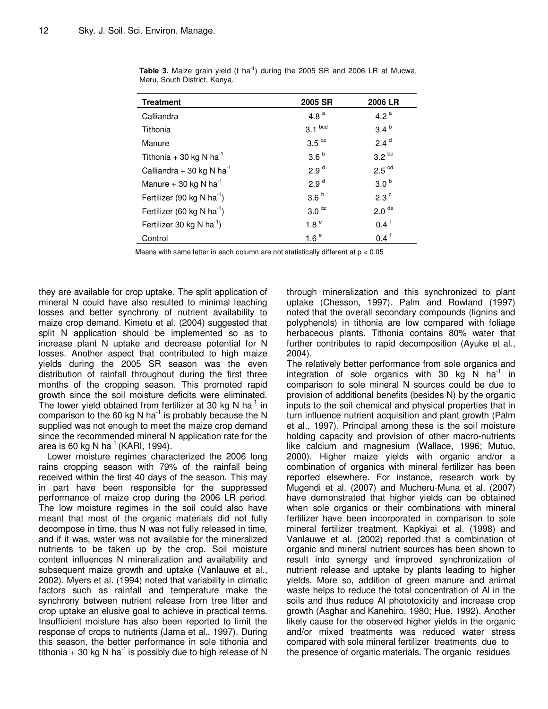| <b>Treatment</b>                       | 2005 SR           | 2006 LR           |
|----------------------------------------|-------------------|-------------------|
| Calliandra                             | 4.8 $a$           | 4.2 $a$           |
| Tithonia                               | $3.1$ bcd         | 3.4 <sup>b</sup>  |
| Manure                                 | 3.5 <sup>bc</sup> | 2.4 <sup>d</sup>  |
| Tithonia + 30 kg N ha <sup>-1</sup>    | 3.6 <sup>b</sup>  | $3.2^{bc}$        |
| Calliandra + 30 kg N ha <sup>-1</sup>  | 2.9 <sup>d</sup>  | 2.5 <sup>cd</sup> |
| Manure + 30 kg N ha <sup>-1</sup>      | 2.9 <sup>d</sup>  | 3.0 <sup>b</sup>  |
| Fertilizer (90 kg N ha <sup>-1</sup> ) | 3.6 <sup>b</sup>  | 2.3 <sup>c</sup>  |
| Fertilizer (60 kg N ha <sup>-1</sup> ) | 3.0 <sup>bc</sup> | 2.0 <sup>de</sup> |
| Fertilizer 30 kg N $ha^{-1}$ )         | 1.8 <sup>e</sup>  | $0.4^{\text{f}}$  |
| Control                                | 1.6 <sup>e</sup>  | $0.4^{\text{f}}$  |

**Table 3.** Maize grain yield (t ha<sup>-1</sup>) during the 2005 SR and 2006 LR at Mucwa, Meru, South District, Kenya.

Means with same letter in each column are not statistically different at  $p < 0.05$ 

they are available for crop uptake. The split application of mineral N could have also resulted to minimal leaching losses and better synchrony of nutrient availability to maize crop demand. Kimetu et al. (2004) suggested that split N application should be implemented so as to increase plant N uptake and decrease potential for N losses. Another aspect that contributed to high maize yields during the 2005 SR season was the even distribution of rainfall throughout during the first three months of the cropping season. This promoted rapid growth since the soil moisture deficits were eliminated. The lower yield obtained from fertilizer at 30 kg N ha<sup>-1</sup> in comparison to the 60 kg N ha<sup>-1</sup> is probably because the N supplied was not enough to meet the maize crop demand since the recommended mineral N application rate for the area is 60 kg N ha $^{-1}$  (KARI, 1994).

Lower moisture regimes characterized the 2006 long rains cropping season with 79% of the rainfall being received within the first 40 days of the season. This may in part have been responsible for the suppressed performance of maize crop during the 2006 LR period. The low moisture regimes in the soil could also have meant that most of the organic materials did not fully decompose in time, thus N was not fully released in time, and if it was, water was not available for the mineralized nutrients to be taken up by the crop. Soil moisture content influences N mineralization and availability and subsequent maize growth and uptake (Vanlauwe et al., 2002). Myers et al. (1994) noted that variability in climatic factors such as rainfall and temperature make the synchrony between nutrient release from tree litter and crop uptake an elusive goal to achieve in practical terms. Insufficient moisture has also been reported to limit the response of crops to nutrients (Jama et al., 1997). During this season, the better performance in sole tithonia and tithonia  $+30$  kg N ha<sup>-1</sup> is possibly due to high release of N

through mineralization and this synchronized to plant uptake (Chesson, 1997). Palm and Rowland (1997) noted that the overall secondary compounds (lignins and polyphenols) in tithonia are low compared with foliage herbaceous plants. Tithonia contains 80% water that further contributes to rapid decomposition (Ayuke et al., 2004).

The relatively better performance from sole organics and integration of sole organics with 30 kg N  $ha^{-1}$  in comparison to sole mineral N sources could be due to provision of additional benefits (besides N) by the organic inputs to the soil chemical and physical properties that in turn influence nutrient acquisition and plant growth (Palm et al., 1997). Principal among these is the soil moisture holding capacity and provision of other macro-nutrients like calcium and magnesium (Wallace, 1996; Mutuo, 2000). Higher maize yields with organic and/or a combination of organics with mineral fertilizer has been reported elsewhere. For instance, research work by Mugendi et al. (2007) and Mucheru-Muna et al. (2007) have demonstrated that higher yields can be obtained when sole organics or their combinations with mineral fertilizer have been incorporated in comparison to sole mineral fertilizer treatment. Kapkiyai et al. (1998) and Vanlauwe et al. (2002) reported that a combination of organic and mineral nutrient sources has been shown to result into synergy and improved synchronization of nutrient release and uptake by plants leading to higher yields. More so, addition of green manure and animal waste helps to reduce the total concentration of Al in the soils and thus reduce Al phototoxicity and increase crop growth (Asghar and Kanehiro, 1980; Hue, 1992). Another likely cause for the observed higher yields in the organic and/or mixed treatments was reduced water stress compared with sole mineral fertilizer treatments due to the presence of organic materials. The organic residues